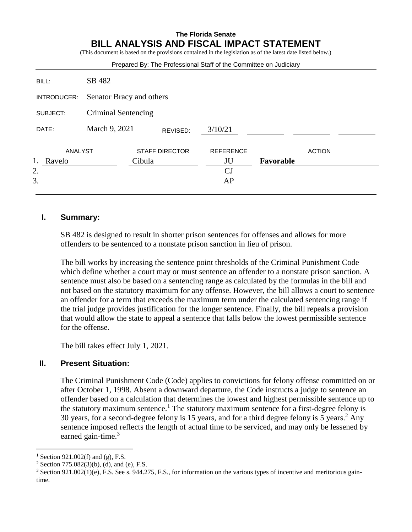# **The Florida Senate BILL ANALYSIS AND FISCAL IMPACT STATEMENT**

(This document is based on the provisions contained in the legislation as of the latest date listed below.)

|             |                          |                       |          | Prepared By: The Professional Staff of the Committee on Judiciary |           |               |  |
|-------------|--------------------------|-----------------------|----------|-------------------------------------------------------------------|-----------|---------------|--|
| BILL:       | SB 482                   |                       |          |                                                                   |           |               |  |
| INTRODUCER: | Senator Bracy and others |                       |          |                                                                   |           |               |  |
| SUBJECT:    | Criminal Sentencing      |                       |          |                                                                   |           |               |  |
| DATE:       | March 9, 2021            |                       | REVISED: | 3/10/21                                                           |           |               |  |
| ANALYST     |                          | <b>STAFF DIRECTOR</b> |          | <b>REFERENCE</b>                                                  |           | <b>ACTION</b> |  |
| Ravelo      |                          | Cibula                |          | JU                                                                | Favorable |               |  |
| 2.          |                          |                       |          | CJ                                                                |           |               |  |
| 3.          |                          |                       |          | AP                                                                |           |               |  |
|             |                          |                       |          |                                                                   |           |               |  |

### **I. Summary:**

SB 482 is designed to result in shorter prison sentences for offenses and allows for more offenders to be sentenced to a nonstate prison sanction in lieu of prison.

The bill works by increasing the sentence point thresholds of the Criminal Punishment Code which define whether a court may or must sentence an offender to a nonstate prison sanction. A sentence must also be based on a sentencing range as calculated by the formulas in the bill and not based on the statutory maximum for any offense. However, the bill allows a court to sentence an offender for a term that exceeds the maximum term under the calculated sentencing range if the trial judge provides justification for the longer sentence. Finally, the bill repeals a provision that would allow the state to appeal a sentence that falls below the lowest permissible sentence for the offense.

The bill takes effect July 1, 2021.

### **II. Present Situation:**

The Criminal Punishment Code (Code) applies to convictions for felony offense committed on or after October 1, 1998. Absent a downward departure, the Code instructs a judge to sentence an offender based on a calculation that determines the lowest and highest permissible sentence up to the statutory maximum sentence.<sup>1</sup> The statutory maximum sentence for a first-degree felony is 30 years, for a second-degree felony is 15 years, and for a third degree felony is 5 years. <sup>2</sup> Any sentence imposed reflects the length of actual time to be serviced, and may only be lessened by earned gain-time. $3$ 

 $\overline{a}$ 

<sup>&</sup>lt;sup>1</sup> Section 921.002(f) and (g), F.S.

<sup>&</sup>lt;sup>2</sup> Section 775.082(3)(b), (d), and (e), F.S.

<sup>3</sup> Section 921.002(1)(e), F.S. See s. 944.275, F.S., for information on the various types of incentive and meritorious gaintime.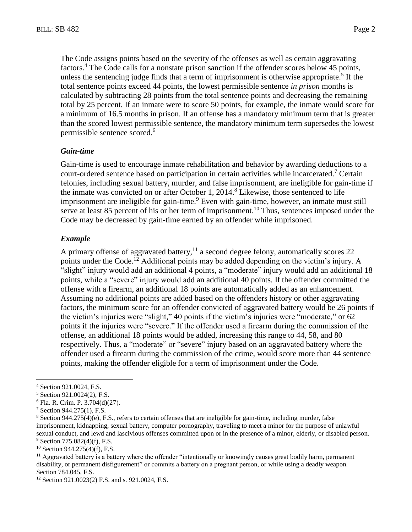The Code assigns points based on the severity of the offenses as well as certain aggravating factors.<sup>4</sup> The Code calls for a nonstate prison sanction if the offender scores below 45 points, unless the sentencing judge finds that a term of imprisonment is otherwise appropriate. 5 If the total sentence points exceed 44 points, the lowest permissible sentence *in prison* months is calculated by subtracting 28 points from the total sentence points and decreasing the remaining total by 25 percent. If an inmate were to score 50 points, for example, the inmate would score for a minimum of 16.5 months in prison. If an offense has a mandatory minimum term that is greater than the scored lowest permissible sentence, the mandatory minimum term supersedes the lowest permissible sentence scored.<sup>6</sup>

#### *Gain-time*

Gain-time is used to encourage inmate rehabilitation and behavior by awarding deductions to a court-ordered sentence based on participation in certain activities while incarcerated.<sup>7</sup> Certain felonies, including sexual battery, murder, and false imprisonment, are ineligible for gain-time if the inmate was convicted on or after October 1,  $2014<sup>8</sup>$  Likewise, those sentenced to life imprisonment are ineligible for gain-time.<sup>9</sup> Even with gain-time, however, an inmate must still serve at least 85 percent of his or her term of imprisonment.<sup>10</sup> Thus, sentences imposed under the Code may be decreased by gain-time earned by an offender while imprisoned.

#### *Example*

A primary offense of aggravated battery,<sup>11</sup> a second degree felony, automatically scores 22 points under the Code.<sup>12</sup> Additional points may be added depending on the victim's injury. A "slight" injury would add an additional 4 points, a "moderate" injury would add an additional 18 points, while a "severe" injury would add an additional 40 points. If the offender committed the offense with a firearm, an additional 18 points are automatically added as an enhancement. Assuming no additional points are added based on the offenders history or other aggravating factors, the minimum score for an offender convicted of aggravated battery would be 26 points if the victim's injuries were "slight," 40 points if the victim's injuries were "moderate," or 62 points if the injuries were "severe." If the offender used a firearm during the commission of the offense, an additional 18 points would be added, increasing this range to 44, 58, and 80 respectively. Thus, a "moderate" or "severe" injury based on an aggravated battery where the offender used a firearm during the commission of the crime, would score more than 44 sentence points, making the offender eligible for a term of imprisonment under the Code.

 $\overline{a}$ 

 $10$  Section 944.275(4)(f), F.S.

 $<sup>11</sup>$  Aggravated battery is a battery where the offender "intentionally or knowingly causes great bodily harm, permanent</sup> disability, or permanent disfigurement" or commits a battery on a pregnant person, or while using a deadly weapon. Section 784.045, F.S.

<sup>4</sup> Section 921.0024, F.S.

<sup>5</sup> Section 921.0024(2), F.S.

<sup>6</sup> Fla. R. Crim. P. 3.704(d)(27).

<sup>7</sup> Section 944.275(1), F.S.

<sup>8</sup> Section 944.275(4)(e), F.S., refers to certain offenses that are ineligible for gain-time, including murder, false imprisonment, kidnapping, sexual battery, computer pornography, traveling to meet a minor for the purpose of unlawful sexual conduct, and lewd and lascivious offenses committed upon or in the presence of a minor, elderly, or disabled person.  $9$  Section 775.082(4)(f), F.S.

<sup>12</sup> Section 921.0023(2) F.S. and s. 921.0024, F.S.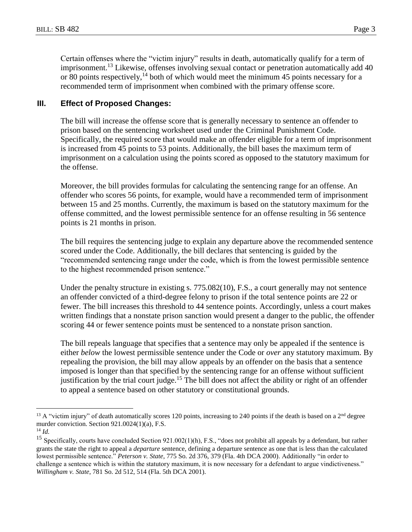Certain offenses where the "victim injury" results in death, automatically qualify for a term of imprisonment.<sup>13</sup> Likewise, offenses involving sexual contact or penetration automatically add 40 or 80 points respectively,  $^{14}$  both of which would meet the minimum 45 points necessary for a recommended term of imprisonment when combined with the primary offense score.

## **III. Effect of Proposed Changes:**

The bill will increase the offense score that is generally necessary to sentence an offender to prison based on the sentencing worksheet used under the Criminal Punishment Code. Specifically, the required score that would make an offender eligible for a term of imprisonment is increased from 45 points to 53 points. Additionally, the bill bases the maximum term of imprisonment on a calculation using the points scored as opposed to the statutory maximum for the offense.

Moreover, the bill provides formulas for calculating the sentencing range for an offense. An offender who scores 56 points, for example, would have a recommended term of imprisonment between 15 and 25 months. Currently, the maximum is based on the statutory maximum for the offense committed, and the lowest permissible sentence for an offense resulting in 56 sentence points is 21 months in prison.

The bill requires the sentencing judge to explain any departure above the recommended sentence scored under the Code. Additionally, the bill declares that sentencing is guided by the "recommended sentencing range under the code, which is from the lowest permissible sentence to the highest recommended prison sentence."

Under the penalty structure in existing s. 775.082(10), F.S., a court generally may not sentence an offender convicted of a third-degree felony to prison if the total sentence points are 22 or fewer. The bill increases this threshold to 44 sentence points. Accordingly, unless a court makes written findings that a nonstate prison sanction would present a danger to the public, the offender scoring 44 or fewer sentence points must be sentenced to a nonstate prison sanction.

The bill repeals language that specifies that a sentence may only be appealed if the sentence is either *below* the lowest permissible sentence under the Code or *over* any statutory maximum. By repealing the provision, the bill may allow appeals by an offender on the basis that a sentence imposed is longer than that specified by the sentencing range for an offense without sufficient justification by the trial court judge.<sup>15</sup> The bill does not affect the ability or right of an offender to appeal a sentence based on other statutory or constitutional grounds.

 $\overline{a}$ 

<sup>&</sup>lt;sup>13</sup> A "victim injury" of death automatically scores 120 points, increasing to 240 points if the death is based on a  $2<sup>nd</sup>$  degree murder conviction. Section 921.0024(1)(a), F.S.

<sup>14</sup> *Id.*

<sup>&</sup>lt;sup>15</sup> Specifically, courts have concluded Section  $921.002(1)(h)$ , F.S., "does not prohibit all appeals by a defendant, but rather grants the state the right to appeal a *departure* sentence, defining a departure sentence as one that is less than the calculated lowest permissible sentence." *Peterson v. State*, 775 So. 2d 376, 379 (Fla. 4th DCA 2000). Additionally "in order to challenge a sentence which is within the statutory maximum, it is now necessary for a defendant to argue vindictiveness." *Willingham v. State*, 781 So. 2d 512, 514 (Fla. 5th DCA 2001).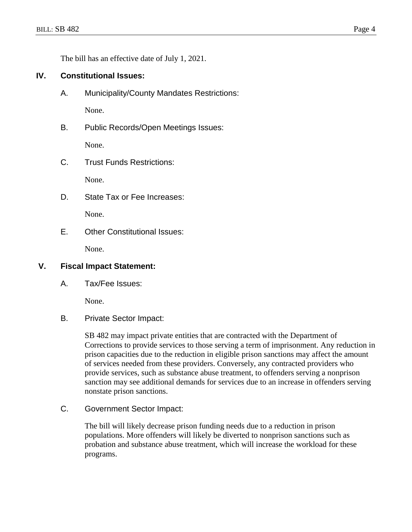The bill has an effective date of July 1, 2021.

# **IV. Constitutional Issues:**

A. Municipality/County Mandates Restrictions:

None.

B. Public Records/Open Meetings Issues:

None.

C. Trust Funds Restrictions:

None.

D. State Tax or Fee Increases:

None.

E. Other Constitutional Issues:

None.

## **V. Fiscal Impact Statement:**

A. Tax/Fee Issues:

None.

B. Private Sector Impact:

SB 482 may impact private entities that are contracted with the Department of Corrections to provide services to those serving a term of imprisonment. Any reduction in prison capacities due to the reduction in eligible prison sanctions may affect the amount of services needed from these providers. Conversely, any contracted providers who provide services, such as substance abuse treatment, to offenders serving a nonprison sanction may see additional demands for services due to an increase in offenders serving nonstate prison sanctions.

C. Government Sector Impact:

The bill will likely decrease prison funding needs due to a reduction in prison populations. More offenders will likely be diverted to nonprison sanctions such as probation and substance abuse treatment, which will increase the workload for these programs.